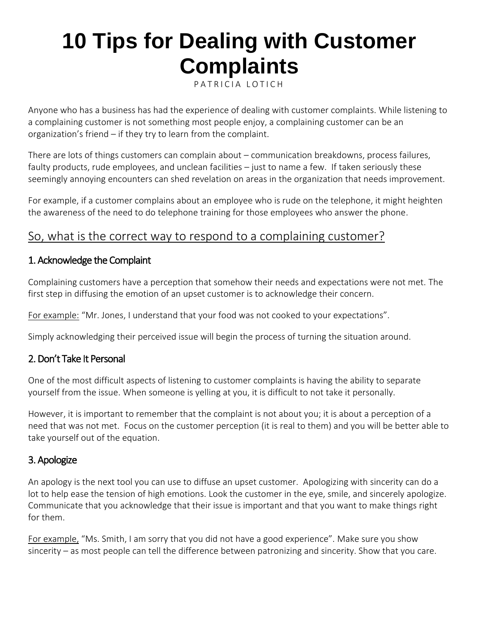# **10 Tips for Dealing with Customer Complaints**

P [A T R I C I A L O T I C H](https://thethrivingsmallbusiness.com/author/maggie/)

Anyone who has a business has had the experience of dealing with customer complaints. While listening to a complaining customer is not something most people enjoy, a complaining customer can be an organization's friend – if they try to learn from the complaint.

There are lots of things customers can complain about – communication breakdowns, process failures, faulty products, rude employees, and unclean facilities – just to name a few. If taken seriously these seemingly annoying encounters can shed revelation on areas in the organization that needs improvement.

For example, if a customer complains about an employee who is rude on the telephone, it might heighten the awareness of the need to do [telephone training for those employees who answer the phone.](https://thethrivingsmallbusiness.com/sample-business-telephone-script/)

# So, what is the correct way to respond to a complaining customer?

### 1. Acknowledge the Complaint

Complaining customers have a perception that somehow their needs and expectations were not met. The first step in diffusing the emotion of an upset customer is to acknowledge their concern.

For example: "Mr. Jones, I understand that your food was not cooked to your expectations".

Simply acknowledging their perceived issue will begin the process of turning the situation around.

# 2. Don't Take It Personal

One of the most difficult aspects of listening to customer complaints is having the ability to separate yourself from the issue. When someone is yelling at you, it is difficult to not take it personally.

However, it is important to remember that the complaint is not about you; it is about a perception of a need that was not met. Focus on the customer perception (it is real to them) and you will be better able to take yourself out of the equation.

# 3. Apologize

An apology is the next tool you can use to diffuse an upset customer. Apologizing with sincerity can do a lot to help ease the tension of high emotions. Look the customer in the eye, smile, and sincerely apologize. Communicate that you acknowledge that their issue is important and that you want to make things right for them.

For example, "Ms. Smith, I am sorry that you did not have a good experience". Make sure you show sincerity – as most people can tell the difference between patronizing and sincerity. Show that you care.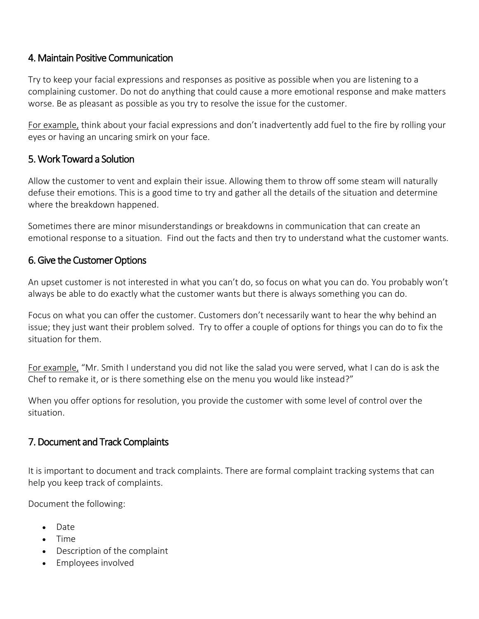### 4. Maintain Positive Communication

Try to keep your facial expressions and responses as positive as possible when you are listening to a complaining customer. Do not do anything that could cause a more emotional response and make matters worse. Be as pleasant as possible as you try to resolve the issue for the customer.

For example, think about your facial expressions and don't inadvertently add fuel to the fire by rolling your eyes or having an uncaring smirk on your face.

### 5. Work Toward a Solution

Allow the customer to vent and explain their issue. Allowing them to throw off some steam will naturally defuse their emotions. This is a good time to try and gather all the details of the situation and determine where the breakdown happened.

Sometimes there are minor misunderstandings or breakdowns in communication that can create an emotional response to a situation. Find out the facts and then try to understand what the customer wants.

#### 6. Give the Customer Options

An upset customer is not interested in what you can't do, so focus on what you can do. You probably won't always be able to do exactly what the customer wants but there is always something you can do.

Focus on what you can offer the customer. Customers don't necessarily want to hear the why behind an issue; they just want their problem solved. Try to offer a couple of options for things you can do to fix the situation for them.

For example, "Mr. Smith I understand you did not like the salad you were served, what I can do is ask the Chef to remake it, or is there something else on the menu you would like instead?"

When you offer options for resolution, you provide the customer with some level of control over the situation.

#### 7. Document and Track Complaints

It is important to document and track complaints. There are formal complaint tracking systems that can help you keep track of complaints.

Document the following:

- Date
- Time
- Description of the complaint
- Employees involved